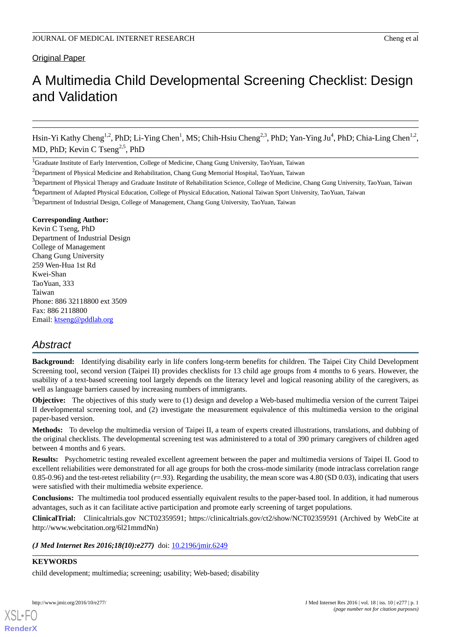# Original Paper

# A Multimedia Child Developmental Screening Checklist: Design and Validation

Hsin-Yi Kathy Cheng<sup>1,2</sup>, PhD; Li-Ying Chen<sup>1</sup>, MS; Chih-Hsiu Cheng<sup>2,3</sup>, PhD; Yan-Ying Ju<sup>4</sup>, PhD; Chia-Ling Chen<sup>1,2</sup>, MD, PhD; Kevin C Tseng<sup>2,5</sup>, PhD

<sup>1</sup>Graduate Institute of Early Intervention, College of Medicine, Chang Gung University, TaoYuan, Taiwan

<sup>2</sup>Department of Physical Medicine and Rehabilitation, Chang Gung Memorial Hospital, TaoYuan, Taiwan

- <sup>3</sup>Department of Physical Therapy and Graduate Institute of Rehabilitation Science, College of Medicine, Chang Gung University, TaoYuan, Taiwan <sup>4</sup>Department of Adapted Physical Education, College of Physical Education, National Taiwan Sport University, TaoYuan, Taiwan
- <sup>5</sup>Department of Industrial Design, College of Management, Chang Gung University, TaoYuan, Taiwan

# **Corresponding Author:**

Kevin C Tseng, PhD Department of Industrial Design College of Management Chang Gung University 259 Wen-Hua 1st Rd Kwei-Shan TaoYuan, 333 Taiwan Phone: 886 32118800 ext 3509 Fax: 886 2118800 Email: [ktseng@pddlab.org](mailto:ktseng@pddlab.org)

# *Abstract*

**Background:** Identifying disability early in life confers long-term benefits for children. The Taipei City Child Development Screening tool, second version (Taipei II) provides checklists for 13 child age groups from 4 months to 6 years. However, the usability of a text-based screening tool largely depends on the literacy level and logical reasoning ability of the caregivers, as well as language barriers caused by increasing numbers of immigrants.

**Objective:** The objectives of this study were to (1) design and develop a Web-based multimedia version of the current Taipei II developmental screening tool, and (2) investigate the measurement equivalence of this multimedia version to the original paper-based version.

**Methods:** To develop the multimedia version of Taipei II, a team of experts created illustrations, translations, and dubbing of the original checklists. The developmental screening test was administered to a total of 390 primary caregivers of children aged between 4 months and 6 years.

**Results:** Psychometric testing revealed excellent agreement between the paper and multimedia versions of Taipei II. Good to excellent reliabilities were demonstrated for all age groups for both the cross-mode similarity (mode intraclass correlation range 0.85-0.96) and the test-retest reliability  $(r=93)$ . Regarding the usability, the mean score was 4.80 (SD 0.03), indicating that users were satisfied with their multimedia website experience.

**Conclusions:** The multimedia tool produced essentially equivalent results to the paper-based tool. In addition, it had numerous advantages, such as it can facilitate active participation and promote early screening of target populations.

**ClinicalTrial:** Clinicaltrials.gov NCT02359591; https://clinicaltrials.gov/ct2/show/NCT02359591 (Archived by WebCite at http://www.webcitation.org/6l21mmdNn)

*(J Med Internet Res 2016;18(10):e277)* doi: [10.2196/jmir.6249](http://dx.doi.org/10.2196/jmir.6249)

# **KEYWORDS**

[XSL](http://www.w3.org/Style/XSL)•FO **[RenderX](http://www.renderx.com/)**

child development; multimedia; screening; usability; Web-based; disability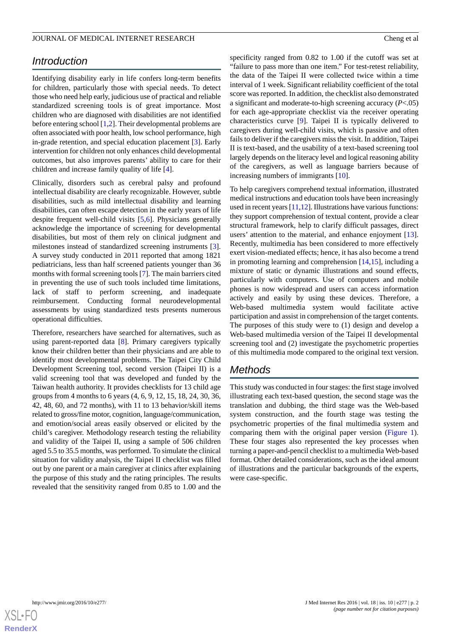# *Introduction*

Identifying disability early in life confers long-term benefits for children, particularly those with special needs. To detect those who need help early, judicious use of practical and reliable standardized screening tools is of great importance. Most children who are diagnosed with disabilities are not identified before entering school [\[1](#page-8-0),[2](#page-8-1)]. Their developmental problems are often associated with poor health, low school performance, high in-grade retention, and special education placement [\[3](#page-8-2)]. Early intervention for children not only enhances child developmental outcomes, but also improves parents' ability to care for their children and increase family quality of life [[4\]](#page-8-3).

Clinically, disorders such as cerebral palsy and profound intellectual disability are clearly recognizable. However, subtle disabilities, such as mild intellectual disability and learning disabilities, can often escape detection in the early years of life despite frequent well-child visits [\[5](#page-8-4),[6\]](#page-8-5). Physicians generally acknowledge the importance of screening for developmental disabilities, but most of them rely on clinical judgment and milestones instead of standardized screening instruments [[3\]](#page-8-2). A survey study conducted in 2011 reported that among 1821 pediatricians, less than half screened patients younger than 36 months with formal screening tools [\[7](#page-8-6)]. The main barriers cited in preventing the use of such tools included time limitations, lack of staff to perform screening, and inadequate reimbursement. Conducting formal neurodevelopmental assessments by using standardized tests presents numerous operational difficulties.

Therefore, researchers have searched for alternatives, such as using parent-reported data [\[8](#page-8-7)]. Primary caregivers typically know their children better than their physicians and are able to identify most developmental problems. The Taipei City Child Development Screening tool, second version (Taipei II) is a valid screening tool that was developed and funded by the Taiwan health authority. It provides checklists for 13 child age groups from 4 months to 6 years (4, 6, 9, 12, 15, 18, 24, 30, 36, 42, 48, 60, and 72 months), with 11 to 13 behavior/skill items related to gross/fine motor, cognition, language/communication, and emotion/social areas easily observed or elicited by the child's caregiver. Methodology research testing the reliability and validity of the Taipei II, using a sample of 506 children aged 5.5 to 35.5 months, was performed. To simulate the clinical situation for validity analysis, the Taipei II checklist was filled out by one parent or a main caregiver at clinics after explaining the purpose of this study and the rating principles. The results revealed that the sensitivity ranged from 0.85 to 1.00 and the

specificity ranged from 0.82 to 1.00 if the cutoff was set at "failure to pass more than one item." For test-retest reliability, the data of the Taipei II were collected twice within a time interval of 1 week. Significant reliability coefficient of the total score was reported. In addition, the checklist also demonstrated a significant and moderate-to-high screening accuracy (*P*<.05) for each age-appropriate checklist via the receiver operating characteristics curve [[9\]](#page-8-8). Taipei II is typically delivered to caregivers during well-child visits, which is passive and often fails to deliver if the caregivers miss the visit. In addition, Taipei II is text-based, and the usability of a text-based screening tool largely depends on the literacy level and logical reasoning ability of the caregivers, as well as language barriers because of increasing numbers of immigrants [\[10](#page-8-9)].

To help caregivers comprehend textual information, illustrated medical instructions and education tools have been increasingly used in recent years [[11,](#page-8-10)[12\]](#page-8-11). Illustrations have various functions: they support comprehension of textual content, provide a clear structural framework, help to clarify difficult passages, direct users' attention to the material, and enhance enjoyment [[13\]](#page-8-12). Recently, multimedia has been considered to more effectively exert vision-mediated effects; hence, it has also become a trend in promoting learning and comprehension [\[14](#page-8-13),[15\]](#page-8-14), including a mixture of static or dynamic illustrations and sound effects, particularly with computers. Use of computers and mobile phones is now widespread and users can access information actively and easily by using these devices. Therefore, a Web-based multimedia system would facilitate active participation and assist in comprehension of the target contents. The purposes of this study were to (1) design and develop a Web-based multimedia version of the Taipei II developmental screening tool and (2) investigate the psychometric properties of this multimedia mode compared to the original text version.

# *Methods*

This study was conducted in four stages: the first stage involved illustrating each text-based question, the second stage was the translation and dubbing, the third stage was the Web-based system construction, and the fourth stage was testing the psychometric properties of the final multimedia system and comparing them with the original paper version ([Figure 1\)](#page-2-0). These four stages also represented the key processes when turning a paper-and-pencil checklist to a multimedia Web-based format. Other detailed considerations, such as the ideal amount of illustrations and the particular backgrounds of the experts, were case-specific.

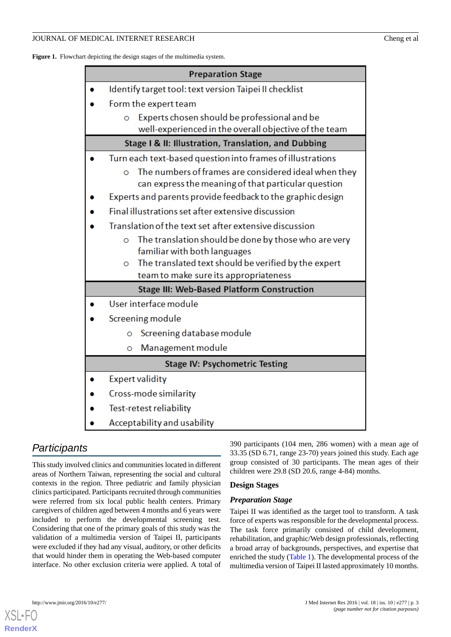### JOURNAL OF MEDICAL INTERNET RESEARCH Cheng et al

<span id="page-2-0"></span>

| Figure 1. Flowchart depicting the design stages of the multimedia system. |  |
|---------------------------------------------------------------------------|--|
|---------------------------------------------------------------------------|--|

| <b>Preparation Stage</b>                                         |  |  |  |  |  |  |
|------------------------------------------------------------------|--|--|--|--|--|--|
| Identify target tool: text version Taipei II checklist           |  |  |  |  |  |  |
| Form the expert team                                             |  |  |  |  |  |  |
| Experts chosen should be professional and be<br>$\circ$          |  |  |  |  |  |  |
| well-experienced in the overall objective of the team            |  |  |  |  |  |  |
| Stage I & II: Illustration, Translation, and Dubbing             |  |  |  |  |  |  |
| Turn each text-based question into frames of illustrations       |  |  |  |  |  |  |
| The numbers of frames are considered ideal when they<br>$\Omega$ |  |  |  |  |  |  |
| can express the meaning of that particular question              |  |  |  |  |  |  |
| Experts and parents provide feedback to the graphic design       |  |  |  |  |  |  |
| Final illustrations set after extensive discussion               |  |  |  |  |  |  |
| Translation of the text set after extensive discussion           |  |  |  |  |  |  |
| The translation should be done by those who are very<br>$\Omega$ |  |  |  |  |  |  |
| familiar with both languages                                     |  |  |  |  |  |  |
| The translated text should be verified by the expert<br>O        |  |  |  |  |  |  |
| team to make sure its appropriateness                            |  |  |  |  |  |  |
| <b>Stage III: Web-Based Platform Construction</b>                |  |  |  |  |  |  |
| User interface module                                            |  |  |  |  |  |  |
| Screening module                                                 |  |  |  |  |  |  |
| Screening database module<br>Ō                                   |  |  |  |  |  |  |
| Management module<br>Ō                                           |  |  |  |  |  |  |
| <b>Stage IV: Psychometric Testing</b>                            |  |  |  |  |  |  |
| <b>Expert validity</b>                                           |  |  |  |  |  |  |
| Cross-mode similarity                                            |  |  |  |  |  |  |
| Test-retest reliability                                          |  |  |  |  |  |  |
| Acceptability and usability                                      |  |  |  |  |  |  |

# *Participants*

This study involved clinics and communities located in different areas of Northern Taiwan, representing the social and cultural contexts in the region. Three pediatric and family physician clinics participated. Participants recruited through communities were referred from six local public health centers. Primary caregivers of children aged between 4 months and 6 years were included to perform the developmental screening test. Considering that one of the primary goals of this study was the validation of a multimedia version of Taipei II, participants were excluded if they had any visual, auditory, or other deficits that would hinder them in operating the Web-based computer interface. No other exclusion criteria were applied. A total of 390 participants (104 men, 286 women) with a mean age of 33.35 (SD 6.71, range 23-70) years joined this study. Each age group consisted of 30 participants. The mean ages of their children were 29.8 (SD 20.6, range 4-84) months.

# **Design Stages**

# *Preparation Stage*

Taipei II was identified as the target tool to transform. A task force of experts was responsible for the developmental process. The task force primarily consisted of child development, rehabilitation, and graphic/Web design professionals, reflecting a broad array of backgrounds, perspectives, and expertise that enriched the study ([Table 1](#page-3-0)). The developmental process of the multimedia version of Taipei II lasted approximately 10 months.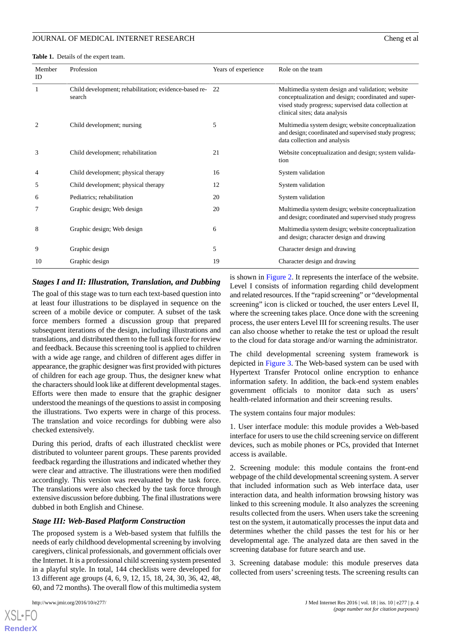<span id="page-3-0"></span>**Table 1.** Details of the expert team.

| Member<br>ID | Profession                                                      | Years of experience | Role on the team                                                                                                                                                                                 |  |  |  |  |
|--------------|-----------------------------------------------------------------|---------------------|--------------------------------------------------------------------------------------------------------------------------------------------------------------------------------------------------|--|--|--|--|
| 1            | Child development; rehabilitation; evidence-based re-<br>search | -22                 | Multimedia system design and validation; website<br>conceptualization and design; coordinated and super-<br>vised study progress; supervised data collection at<br>clinical sites; data analysis |  |  |  |  |
| 2            | Child development; nursing                                      | 5                   | Multimedia system design; website conceptualization<br>and design; coordinated and supervised study progress;<br>data collection and analysis                                                    |  |  |  |  |
| 3            | Child development; rehabilitation                               | 21                  | Website conceptualization and design; system valida-<br>tion                                                                                                                                     |  |  |  |  |
| 4            | Child development; physical therapy                             | 16                  | System validation                                                                                                                                                                                |  |  |  |  |
| 5            | Child development; physical therapy                             | 12                  | System validation                                                                                                                                                                                |  |  |  |  |
| 6            | Pediatrics; rehabilitation                                      | 20                  | System validation                                                                                                                                                                                |  |  |  |  |
| 7            | Graphic design; Web design                                      | 20                  | Multimedia system design; website conceptualization<br>and design; coordinated and supervised study progress                                                                                     |  |  |  |  |
| 8            | Graphic design; Web design                                      | 6                   | Multimedia system design; website conceptualization<br>and design; character design and drawing                                                                                                  |  |  |  |  |

9 Graphic design 6 Graphic design 3 Graphic design and drawing 5 Graphic design and drawing  $\frac{5}{2}$  Character design and drawing 10 Graphic design 19 Graphic design 19 Graphic design and drawing 19 Graphic design and drawing

#### *Stages I and II: Illustration, Translation, and Dubbing*

The goal of this stage was to turn each text-based question into at least four illustrations to be displayed in sequence on the screen of a mobile device or computer. A subset of the task force members formed a discussion group that prepared subsequent iterations of the design, including illustrations and translations, and distributed them to the full task force for review and feedback. Because this screening tool is applied to children with a wide age range, and children of different ages differ in appearance, the graphic designer was first provided with pictures of children for each age group. Thus, the designer knew what the characters should look like at different developmental stages. Efforts were then made to ensure that the graphic designer understood the meanings of the questions to assist in composing the illustrations. Two experts were in charge of this process. The translation and voice recordings for dubbing were also checked extensively.

During this period, drafts of each illustrated checklist were distributed to volunteer parent groups. These parents provided feedback regarding the illustrations and indicated whether they were clear and attractive. The illustrations were then modified accordingly. This version was reevaluated by the task force. The translations were also checked by the task force through extensive discussion before dubbing. The final illustrations were dubbed in both English and Chinese.

#### *Stage III: Web-Based Platform Construction*

The proposed system is a Web-based system that fulfills the needs of early childhood developmental screening by involving caregivers, clinical professionals, and government officials over the Internet. It is a professional child screening system presented in a playful style. In total, 144 checklists were developed for 13 different age groups (4, 6, 9, 12, 15, 18, 24, 30, 36, 42, 48, 60, and 72 months). The overall flow of this multimedia system

 $XS$  • FC **[RenderX](http://www.renderx.com/)** is shown in [Figure 2](#page-4-0). It represents the interface of the website. Level I consists of information regarding child development and related resources. If the "rapid screening" or "developmental screening" icon is clicked or touched, the user enters Level II, where the screening takes place. Once done with the screening process, the user enters Level III for screening results. The user can also choose whether to retake the test or upload the result to the cloud for data storage and/or warning the administrator.

The child developmental screening system framework is depicted in [Figure 3](#page-4-1). The Web-based system can be used with Hypertext Transfer Protocol online encryption to enhance information safety. In addition, the back-end system enables government officials to monitor data such as users' health-related information and their screening results.

The system contains four major modules:

1. User interface module: this module provides a Web-based interface for users to use the child screening service on different devices, such as mobile phones or PCs, provided that Internet access is available.

2. Screening module: this module contains the front-end webpage of the child developmental screening system. A server that included information such as Web interface data, user interaction data, and health information browsing history was linked to this screening module. It also analyzes the screening results collected from the users. When users take the screening test on the system, it automatically processes the input data and determines whether the child passes the test for his or her developmental age. The analyzed data are then saved in the screening database for future search and use.

3. Screening database module: this module preserves data collected from users'screening tests. The screening results can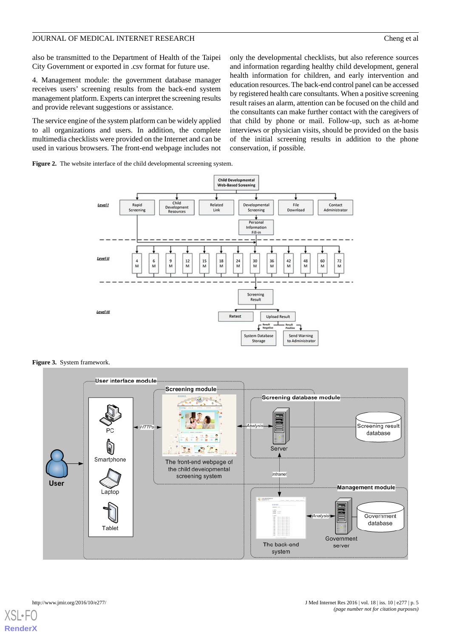also be transmitted to the Department of Health of the Taipei City Government or exported in .csv format for future use.

4. Management module: the government database manager receives users' screening results from the back-end system management platform. Experts can interpret the screening results and provide relevant suggestions or assistance.

The service engine of the system platform can be widely applied to all organizations and users. In addition, the complete multimedia checklists were provided on the Internet and can be used in various browsers. The front-end webpage includes not

only the developmental checklists, but also reference sources and information regarding healthy child development, general health information for children, and early intervention and education resources. The back-end control panel can be accessed by registered health care consultants. When a positive screening result raises an alarm, attention can be focused on the child and the consultants can make further contact with the caregivers of that child by phone or mail. Follow-up, such as at-home interviews or physician visits, should be provided on the basis of the initial screening results in addition to the phone conservation, if possible.

<span id="page-4-0"></span>**Figure 2.** The website interface of the child developmental screening system.



<span id="page-4-1"></span>**Figure 3.** System framework.

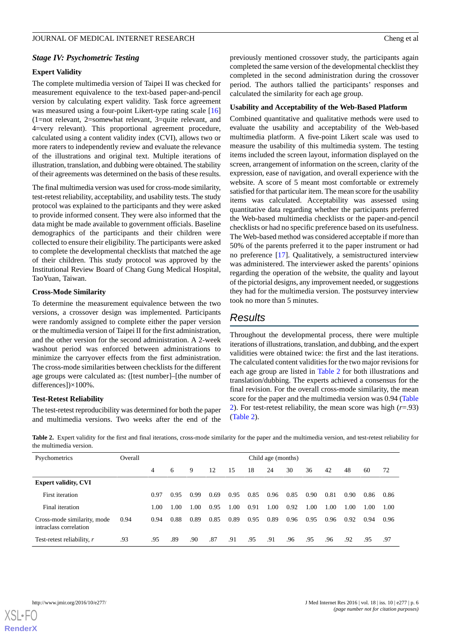#### *Stage IV: Psychometric Testing*

#### **Expert Validity**

The complete multimedia version of Taipei II was checked for measurement equivalence to the text-based paper-and-pencil version by calculating expert validity. Task force agreement was measured using a four-point Likert-type rating scale [\[16](#page-8-15)] (1=not relevant, 2=somewhat relevant, 3=quite relevant, and 4=very relevant). This proportional agreement procedure, calculated using a content validity index (CVI), allows two or more raters to independently review and evaluate the relevance of the illustrations and original text. Multiple iterations of illustration, translation, and dubbing were obtained. The stability of their agreements was determined on the basis of these results.

The final multimedia version was used for cross-mode similarity, test-retest reliability, acceptability, and usability tests. The study protocol was explained to the participants and they were asked to provide informed consent. They were also informed that the data might be made available to government officials. Baseline demographics of the participants and their children were collected to ensure their eligibility. The participants were asked to complete the developmental checklists that matched the age of their children. This study protocol was approved by the Institutional Review Board of Chang Gung Medical Hospital, TaoYuan, Taiwan.

#### **Cross-Mode Similarity**

To determine the measurement equivalence between the two versions, a crossover design was implemented. Participants were randomly assigned to complete either the paper version or the multimedia version of Taipei II for the first administration, and the other version for the second administration. A 2-week washout period was enforced between administrations to minimize the carryover effects from the first administration. The cross-mode similarities between checklists for the different age groups were calculated as: ([test number]–[the number of differences])×100%.

#### <span id="page-5-0"></span>**Test-Retest Reliability**

The test-retest reproducibility was determined for both the paper and multimedia versions. Two weeks after the end of the previously mentioned crossover study, the participants again completed the same version of the developmental checklist they completed in the second administration during the crossover period. The authors tallied the participants' responses and calculated the similarity for each age group.

#### **Usability and Acceptability of the Web-Based Platform**

Combined quantitative and qualitative methods were used to evaluate the usability and acceptability of the Web-based multimedia platform. A five-point Likert scale was used to measure the usability of this multimedia system. The testing items included the screen layout, information displayed on the screen, arrangement of information on the screen, clarity of the expression, ease of navigation, and overall experience with the website. A score of 5 meant most comfortable or extremely satisfied for that particular item. The mean score for the usability items was calculated. Acceptability was assessed using quantitative data regarding whether the participants preferred the Web-based multimedia checklists or the paper-and-pencil checklists or had no specific preference based on its usefulness. The Web-based method was considered acceptable if more than 50% of the parents preferred it to the paper instrument or had no preference [[17\]](#page-8-16). Qualitatively, a semistructured interview was administered. The interviewer asked the parents' opinions regarding the operation of the website, the quality and layout of the pictorial designs, any improvement needed, or suggestions they had for the multimedia version. The postsurvey interview took no more than 5 minutes.

# *Results*

Throughout the developmental process, there were multiple iterations of illustrations, translation, and dubbing, and the expert validities were obtained twice: the first and the last iterations. The calculated content validities for the two major revisions for each age group are listed in [Table 2](#page-5-0) for both illustrations and translation/dubbing. The experts achieved a consensus for the final revision. For the overall cross-mode similarity, the mean score for the paper and the multimedia version was 0.94 ([Table](#page-5-0) [2\)](#page-5-0). For test-retest reliability, the mean score was high (*r*=.93) ([Table 2](#page-5-0)).

**Table 2.** Expert validity for the first and final iterations, cross-mode similarity for the paper and the multimedia version, and test-retest reliability for the multimedia version.

| Psychometrics                                         | Overall |      |      |      |      |      | Child age (months) |      |      |      |                  |                  |      |      |
|-------------------------------------------------------|---------|------|------|------|------|------|--------------------|------|------|------|------------------|------------------|------|------|
|                                                       |         | 4    | 6    | 9    | 12   | 15   | 18                 | 24   | 30   | 36   | 42               | 48               | 60   | 72   |
| <b>Expert validity, CVI</b>                           |         |      |      |      |      |      |                    |      |      |      |                  |                  |      |      |
| First iteration                                       |         | 0.97 | 0.95 | 0.99 | 0.69 | 0.95 | 0.85               | 0.96 | 0.85 | 0.90 | 0.81             | 0.90             | 0.86 | 0.86 |
| Final iteration                                       |         | 1.00 | .00  | -00  | 0.95 | 1.00 | 0.91               | 1.00 | 0.92 | 00.1 | .00 <sub>1</sub> | .00 <sub>1</sub> | 1.00 | 1.00 |
| Cross-mode similarity, mode<br>intraclass correlation | 0.94    | 0.94 | 0.88 | 0.89 | 0.85 | 0.89 | 0.95               | 0.89 | 0.96 | 0.95 | 0.96             | 0.92             | 0.94 | 0.96 |
| Test-retest reliability, r                            | .93     | .95  | .89  | .90  | .87  | .91  | .95                | .91  | .96  | .95  | .96              | .92              | .95  | .97  |

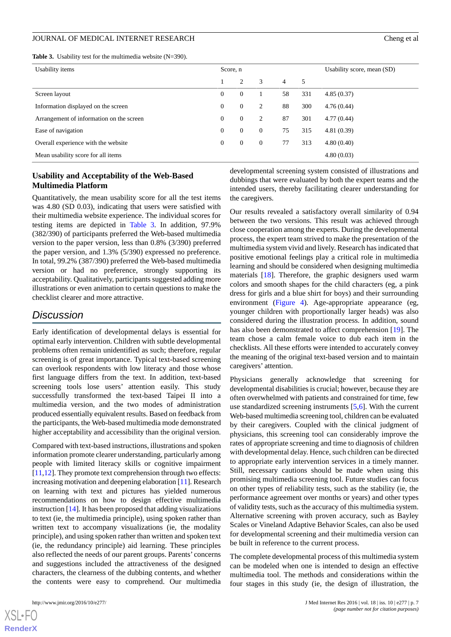<span id="page-6-0"></span>**Table 3.** Usability test for the multimedia website (N=390).

| <b>Eable 3.</b> Osability lest for the multimedia website $(N=390)$ . |              |                |          |    |     |                            |  |  |  |
|-----------------------------------------------------------------------|--------------|----------------|----------|----|-----|----------------------------|--|--|--|
| Usability items                                                       | Score, n     |                |          |    |     | Usability score, mean (SD) |  |  |  |
|                                                                       |              | 2              | 3        | 4  | 5   |                            |  |  |  |
| Screen layout                                                         | $\mathbf{0}$ | $\overline{0}$ |          | 58 | 331 | 4.85(0.37)                 |  |  |  |
| Information displayed on the screen                                   | $\mathbf{0}$ | $\theta$       | 2        | 88 | 300 | 4.76(0.44)                 |  |  |  |
| Arrangement of information on the screen                              | $\mathbf{0}$ | $\theta$       | 2        | 87 | 301 | 4.77(0.44)                 |  |  |  |
| Ease of navigation                                                    | $\mathbf{0}$ | 0              | $\Omega$ | 75 | 315 | 4.81(0.39)                 |  |  |  |

Overall experience with the website 0 0 0 77 313 4.80 (0.40) Mean usability score for all items 4.80 (0.03)

# **Usability and Acceptability of the Web-Based Multimedia Platform**

Quantitatively, the mean usability score for all the test items was 4.80 (SD 0.03), indicating that users were satisfied with their multimedia website experience. The individual scores for testing items are depicted in [Table 3.](#page-6-0) In addition, 97.9% (382/390) of participants preferred the Web-based multimedia version to the paper version, less than 0.8% (3/390) preferred the paper version, and 1.3% (5/390) expressed no preference. In total, 99.2% (387/390) preferred the Web-based multimedia version or had no preference, strongly supporting its acceptability. Qualitatively, participants suggested adding more illustrations or even animation to certain questions to make the checklist clearer and more attractive.

# *Discussion*

Early identification of developmental delays is essential for optimal early intervention. Children with subtle developmental problems often remain unidentified as such; therefore, regular screening is of great importance. Typical text-based screening can overlook respondents with low literacy and those whose first language differs from the text. In addition, text-based screening tools lose users' attention easily. This study successfully transformed the text-based Taipei II into a multimedia version, and the two modes of administration produced essentially equivalent results. Based on feedback from the participants, the Web-based multimedia mode demonstrated higher acceptability and accessibility than the original version.

Compared with text-based instructions, illustrations and spoken information promote clearer understanding, particularly among people with limited literacy skills or cognitive impairment  $[11,12]$  $[11,12]$  $[11,12]$  $[11,12]$ . They promote text comprehension through two effects: increasing motivation and deepening elaboration [[11\]](#page-8-10). Research on learning with text and pictures has yielded numerous recommendations on how to design effective multimedia instruction [\[14](#page-8-13)]. It has been proposed that adding visualizations to text (ie, the multimedia principle), using spoken rather than written text to accompany visualizations (ie, the modality principle), and using spoken rather than written and spoken text (ie, the redundancy principle) aid learning. These principles also reflected the needs of our parent groups. Parents' concerns and suggestions included the attractiveness of the designed characters, the clearness of the dubbing contents, and whether the contents were easy to comprehend. Our multimedia

[XSL](http://www.w3.org/Style/XSL)•FO **[RenderX](http://www.renderx.com/)**

developmental screening system consisted of illustrations and dubbings that were evaluated by both the expert teams and the intended users, thereby facilitating clearer understanding for the caregivers.

Our results revealed a satisfactory overall similarity of 0.94 between the two versions. This result was achieved through close cooperation among the experts. During the developmental process, the expert team strived to make the presentation of the multimedia system vivid and lively. Research has indicated that positive emotional feelings play a critical role in multimedia learning and should be considered when designing multimedia materials [[18\]](#page-8-17). Therefore, the graphic designers used warm colors and smooth shapes for the child characters (eg, a pink dress for girls and a blue shirt for boys) and their surrounding environment ([Figure 4\)](#page-7-0). Age-appropriate appearance (eg, younger children with proportionally larger heads) was also considered during the illustration process. In addition, sound has also been demonstrated to affect comprehension [[19\]](#page-8-18). The team chose a calm female voice to dub each item in the checklists. All these efforts were intended to accurately convey the meaning of the original text-based version and to maintain caregivers' attention.

Physicians generally acknowledge that screening for developmental disabilities is crucial; however, because they are often overwhelmed with patients and constrained for time, few use standardized screening instruments [\[5](#page-8-4),[6\]](#page-8-5). With the current Web-based multimedia screening tool, children can be evaluated by their caregivers. Coupled with the clinical judgment of physicians, this screening tool can considerably improve the rates of appropriate screening and time to diagnosis of children with developmental delay. Hence, such children can be directed to appropriate early intervention services in a timely manner. Still, necessary cautions should be made when using this promising multimedia screening tool. Future studies can focus on other types of reliability tests, such as the stability (ie, the performance agreement over months or years) and other types of validity tests, such as the accuracy of this multimedia system. Alternative screening with proven accuracy, such as Bayley Scales or Vineland Adaptive Behavior Scales, can also be used for developmental screening and their multimedia version can be built in reference to the current process.

The complete developmental process of this multimedia system can be modeled when one is intended to design an effective multimedia tool. The methods and considerations within the four stages in this study (ie, the design of illustration, the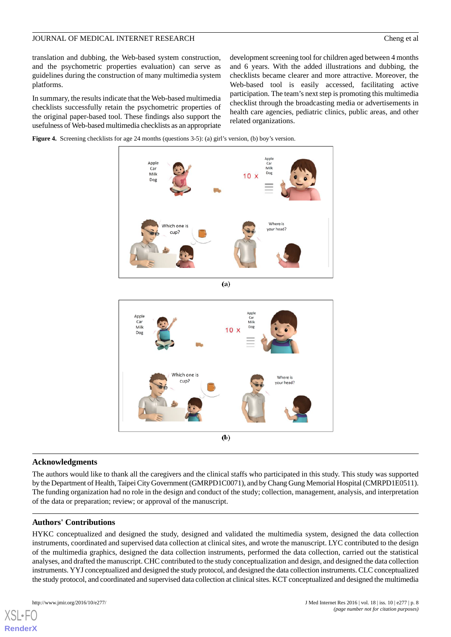translation and dubbing, the Web-based system construction, and the psychometric properties evaluation) can serve as guidelines during the construction of many multimedia system platforms.

In summary, the results indicate that the Web-based multimedia checklists successfully retain the psychometric properties of the original paper-based tool. These findings also support the usefulness of Web-based multimedia checklists as an appropriate

development screening tool for children aged between 4 months and 6 years. With the added illustrations and dubbing, the checklists became clearer and more attractive. Moreover, the Web-based tool is easily accessed, facilitating active participation. The team's next step is promoting this multimedia checklist through the broadcasting media or advertisements in health care agencies, pediatric clinics, public areas, and other related organizations.

<span id="page-7-0"></span>





#### **Acknowledgments**

The authors would like to thank all the caregivers and the clinical staffs who participated in this study. This study was supported by the Department of Health, Taipei City Government (GMRPD1C0071), and by Chang Gung Memorial Hospital (CMRPD1E0511). The funding organization had no role in the design and conduct of the study; collection, management, analysis, and interpretation of the data or preparation; review; or approval of the manuscript.

# **Authors' Contributions**

HYKC conceptualized and designed the study, designed and validated the multimedia system, designed the data collection instruments, coordinated and supervised data collection at clinical sites, and wrote the manuscript. LYC contributed to the design of the multimedia graphics, designed the data collection instruments, performed the data collection, carried out the statistical analyses, and drafted the manuscript. CHC contributed to the study conceptualization and design, and designed the data collection instruments. YYJ conceptualized and designed the study protocol, and designed the data collection instruments. CLC conceptualized the study protocol, and coordinated and supervised data collection at clinical sites. KCT conceptualized and designed the multimedia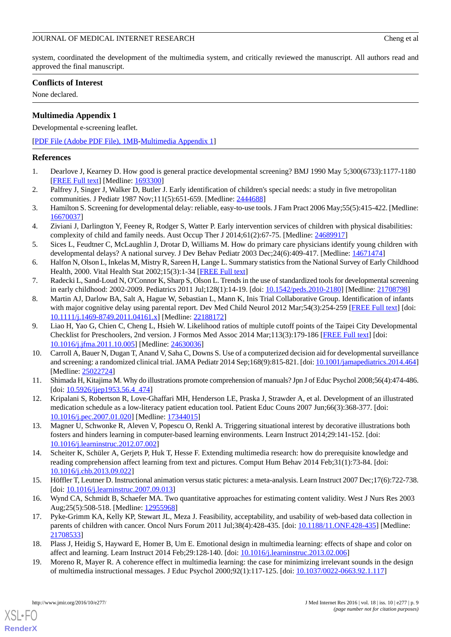system, coordinated the development of the multimedia system, and critically reviewed the manuscript. All authors read and approved the final manuscript.

# **Conflicts of Interest**

None declared.

# **Multimedia Appendix 1**

Developmental e-screening leaflet.

[[PDF File \(Adobe PDF File\), 1MB](https://jmir.org/api/download?alt_name=jmir_v18i10e277_app1.pdf&filename=b79ae71a62fa014725a014ce388b513d.pdf)-[Multimedia Appendix 1\]](https://jmir.org/api/download?alt_name=jmir_v18i10e277_app1.pdf&filename=b79ae71a62fa014725a014ce388b513d.pdf)

### <span id="page-8-0"></span>**References**

- <span id="page-8-1"></span>1. Dearlove J, Kearney D. How good is general practice developmental screening? BMJ 1990 May 5;300(6733):1177-1180 [[FREE Full text](http://europepmc.org/abstract/MED/1693300)] [Medline: [1693300](http://www.ncbi.nlm.nih.gov/entrez/query.fcgi?cmd=Retrieve&db=PubMed&list_uids=1693300&dopt=Abstract)]
- <span id="page-8-2"></span>2. Palfrey J, Singer J, Walker D, Butler J. Early identification of children's special needs: a study in five metropolitan communities. J Pediatr 1987 Nov;111(5):651-659. [Medline: [2444688\]](http://www.ncbi.nlm.nih.gov/entrez/query.fcgi?cmd=Retrieve&db=PubMed&list_uids=2444688&dopt=Abstract)
- <span id="page-8-3"></span>3. Hamilton S. Screening for developmental delay: reliable, easy-to-use tools. J Fam Pract 2006 May;55(5):415-422. [Medline: [16670037](http://www.ncbi.nlm.nih.gov/entrez/query.fcgi?cmd=Retrieve&db=PubMed&list_uids=16670037&dopt=Abstract)]
- <span id="page-8-4"></span>4. Ziviani J, Darlington Y, Feeney R, Rodger S, Watter P. Early intervention services of children with physical disabilities: complexity of child and family needs. Aust Occup Ther J 2014;61(2):67-75. [Medline: [24689917\]](http://www.ncbi.nlm.nih.gov/entrez/query.fcgi?cmd=Retrieve&db=PubMed&list_uids=24689917&dopt=Abstract)
- <span id="page-8-6"></span><span id="page-8-5"></span>5. Sices L, Feudtner C, McLaughlin J, Drotar D, Williams M. How do primary care physicians identify young children with developmental delays? A national survey. J Dev Behav Pediatr 2003 Dec;24(6):409-417. [Medline: [14671474](http://www.ncbi.nlm.nih.gov/entrez/query.fcgi?cmd=Retrieve&db=PubMed&list_uids=14671474&dopt=Abstract)]
- <span id="page-8-7"></span>6. Halfon N, Olson L, Inkelas M, Mistry R, Sareen H, Lange L. Summary statistics from the National Survey of Early Childhood Health, 2000. Vital Health Stat 2002;15(3):1-34 [[FREE Full text](http://www.cdc.gov/nchs/data/series/sr_15/sr15_003.pdf)]
- 7. Radecki L, Sand-Loud N, O'Connor K, Sharp S, Olson L. Trends in the use of standardized tools for developmental screening in early childhood: 2002-2009. Pediatrics 2011 Jul;128(1):14-19. [doi: [10.1542/peds.2010-2180](http://dx.doi.org/10.1542/peds.2010-2180)] [Medline: [21708798](http://www.ncbi.nlm.nih.gov/entrez/query.fcgi?cmd=Retrieve&db=PubMed&list_uids=21708798&dopt=Abstract)]
- <span id="page-8-8"></span>8. Martin AJ, Darlow BA, Salt A, Hague W, Sebastian L, Mann K, Inis Trial Collaborative Group. Identification of infants with major cognitive delay using parental report. Dev Med Child Neurol 2012 Mar;54(3):254-259 [\[FREE Full text\]](http://dx.doi.org/10.1111/j.1469-8749.2011.04161.x) [doi: [10.1111/j.1469-8749.2011.04161.x\]](http://dx.doi.org/10.1111/j.1469-8749.2011.04161.x) [Medline: [22188172\]](http://www.ncbi.nlm.nih.gov/entrez/query.fcgi?cmd=Retrieve&db=PubMed&list_uids=22188172&dopt=Abstract)
- <span id="page-8-9"></span>9. Liao H, Yao G, Chien C, Cheng L, Hsieh W. Likelihood ratios of multiple cutoff points of the Taipei City Developmental Checklist for Preschoolers, 2nd version. J Formos Med Assoc 2014 Mar;113(3):179-186 [\[FREE Full text\]](http://linkinghub.elsevier.com/retrieve/pii/S0929-6646(12)00117-9) [doi: [10.1016/j.jfma.2011.10.005\]](http://dx.doi.org/10.1016/j.jfma.2011.10.005) [Medline: [24630036\]](http://www.ncbi.nlm.nih.gov/entrez/query.fcgi?cmd=Retrieve&db=PubMed&list_uids=24630036&dopt=Abstract)
- <span id="page-8-11"></span><span id="page-8-10"></span>10. Carroll A, Bauer N, Dugan T, Anand V, Saha C, Downs S. Use of a computerized decision aid for developmental surveillance and screening: a randomized clinical trial. JAMA Pediatr 2014 Sep;168(9):815-821. [doi: [10.1001/jamapediatrics.2014.464\]](http://dx.doi.org/10.1001/jamapediatrics.2014.464) [Medline: [25022724](http://www.ncbi.nlm.nih.gov/entrez/query.fcgi?cmd=Retrieve&db=PubMed&list_uids=25022724&dopt=Abstract)]
- <span id="page-8-12"></span>11. Shimada H, Kitajima M. Why do illustrations promote comprehension of manuals? Jpn J of Educ Psychol 2008;56(4):474-486. [doi: [10.5926/jjep1953.56.4\\_474](http://dx.doi.org/10.5926/jjep1953.56.4_474)]
- <span id="page-8-13"></span>12. Kripalani S, Robertson R, Love-Ghaffari MH, Henderson LE, Praska J, Strawder A, et al. Development of an illustrated medication schedule as a low-literacy patient education tool. Patient Educ Couns 2007 Jun;66(3):368-377. [doi: [10.1016/j.pec.2007.01.020\]](http://dx.doi.org/10.1016/j.pec.2007.01.020) [Medline: [17344015](http://www.ncbi.nlm.nih.gov/entrez/query.fcgi?cmd=Retrieve&db=PubMed&list_uids=17344015&dopt=Abstract)]
- <span id="page-8-14"></span>13. Magner U, Schwonke R, Aleven V, Popescu O, Renkl A. Triggering situational interest by decorative illustrations both fosters and hinders learning in computer-based learning environments. Learn Instruct 2014;29:141-152. [doi: [10.1016/j.learninstruc.2012.07.002\]](http://dx.doi.org/10.1016/j.learninstruc.2012.07.002)
- <span id="page-8-16"></span><span id="page-8-15"></span>14. Scheiter K, Schüler A, Gerjets P, Huk T, Hesse F. Extending multimedia research: how do prerequisite knowledge and reading comprehension affect learning from text and pictures. Comput Hum Behav 2014 Feb;31(1):73-84. [doi: [10.1016/j.chb.2013.09.022\]](http://dx.doi.org/10.1016/j.chb.2013.09.022)
- 15. Höffler T, Leutner D. Instructional animation versus static pictures: a meta-analysis. Learn Instruct 2007 Dec;17(6):722-738. [doi: [10.1016/j.learninstruc.2007.09.013](http://dx.doi.org/10.1016/j.learninstruc.2007.09.013)]
- <span id="page-8-18"></span><span id="page-8-17"></span>16. Wynd CA, Schmidt B, Schaefer MA. Two quantitative approaches for estimating content validity. West J Nurs Res 2003 Aug; 25(5): 508-518. [Medline: [12955968](http://www.ncbi.nlm.nih.gov/entrez/query.fcgi?cmd=Retrieve&db=PubMed&list_uids=12955968&dopt=Abstract)]
- 17. Pyke-Grimm KA, Kelly KP, Stewart JL, Meza J. Feasibility, acceptability, and usability of web-based data collection in parents of children with cancer. Oncol Nurs Forum 2011 Jul;38(4):428-435. [doi: [10.1188/11.ONF.428-435\]](http://dx.doi.org/10.1188/11.ONF.428-435) [Medline: [21708533](http://www.ncbi.nlm.nih.gov/entrez/query.fcgi?cmd=Retrieve&db=PubMed&list_uids=21708533&dopt=Abstract)]
- 18. Plass J, Heidig S, Hayward E, Homer B, Um E. Emotional design in multimedia learning: effects of shape and color on affect and learning. Learn Instruct 2014 Feb;29:128-140. [doi: [10.1016/j.learninstruc.2013.02.006](http://dx.doi.org/10.1016/j.learninstruc.2013.02.006)]
- 19. Moreno R, Mayer R. A coherence effect in multimedia learning: the case for minimizing irrelevant sounds in the design of multimedia instructional messages. J Educ Psychol 2000;92(1):117-125. [doi: [10.1037/0022-0663.92.1.117](http://dx.doi.org/10.1037/0022-0663.92.1.117)]